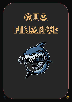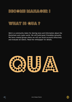## BECOME MANAGER !

## What is qua ?

QUA is a community token for sharing news and information about the blockchain and crypto world. We will build great friendship networks. We have created groups where we will use social accounts effectively and evaluate all tokens. Read the whitepaper for details.





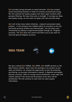QUA provides strong networks on social networks. QUA has created social networking channels to make its investors economically strong. We will continue the loyalty program and reach super investors after personal filtering. We know that unity is strength. If we keep our ideas and loyalty strong, we will reach our goals with fast and solid steps.

QUA will review many token initiatives , research and present token projects . It will announce the reliable tokens to everyone on the site and social accounts without any financial gain. You can direct your investments by talking to experienced people through our Telegram accounts. The QUA team will control and direct you as you wish via mail and special telegram accounts.



We have created OUA FORUM, OUA NEWS, OUA SHARE sections on the QUA Finance website. Apart from the earnings of our project on presales and defense, we created the opportunity to earn by producing and sharing. As accurate information is shared, it disperses and people become conscious. With our strong control mechanism, every topic and content shared in the forum and all projects to be news will be synthesized. We will continue to work until we reach quality information.

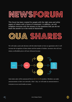## Residences of the Residence

This forum has been created for people with the right news and white papers of tokens with a future of investment. In addition, we will enlighten everyone with the answers to the questions that you do not know the answer to in the world of blockchain.



We will make a joint sale decision with the token brands we have an agreement with. It will increase the recognition of these tokens and the number of holders. Investors who will own tokens at affordable prices will earn Advanced income



Joint token sales will be announced first to QUA CLUB members. Members can make announcements to their own networks. After 1 day, we will make an announcement to everyone on our social media accounts.

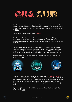

• We will create Telegram country groups. In this process, group management will be given to accounts with a certain audience before. While choosing the managers, we will examine their personalities in detail. People who want to join our team, please fill out this FORM.

You can join Announcement channel on Telegram

- We will create Discord chanel. In this process, group management will be given to accounts with a certain audience before. While choosing the managers, we will examine their personalities in detail. People who want to join our team, please fill out this FORM.
- QUA holders inform us of their BSC addresses and you will be added to the special group. Addresses are checked periodically and those who are included in the closed group are removed from the group during this process when QUA is not seen in their accounts. QUA owners will hear many news and our future plans before anyone else.

We have 3 different Holder supporters. Fill out the form for the private channel you want to join . FORM



• Those who want to join this team must have a minimum of 5 BNB worth of QUA. Team members will have power in the project. Accounts with less than 5 BNB (QUA) will be removed from the team. A special telegram group will be established for the team, and the top 3 accounts with the most QUA in its management will manage the group. And everyone in the team will receive special authorization in the QUA forum.

If you have QUA token worth 5 BNB in your wallet, fill out the form to join the private group. FORM

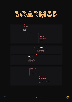